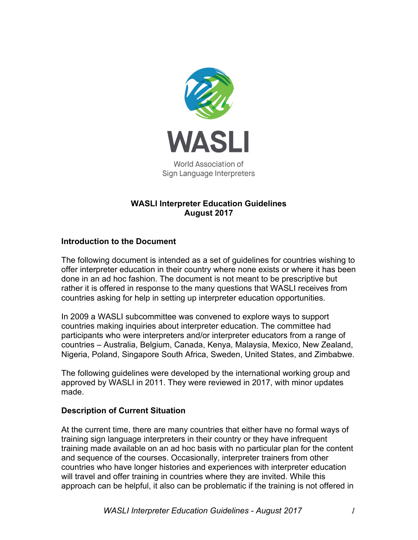

## **WASLI Interpreter Education Guidelines August 2017**

## **Introduction to the Document**

The following document is intended as a set of guidelines for countries wishing to offer interpreter education in their country where none exists or where it has been done in an ad hoc fashion. The document is not meant to be prescriptive but rather it is offered in response to the many questions that WASLI receives from countries asking for help in setting up interpreter education opportunities.

In 2009 a WASLI subcommittee was convened to explore ways to support countries making inquiries about interpreter education. The committee had participants who were interpreters and/or interpreter educators from a range of countries – Australia, Belgium, Canada, Kenya, Malaysia, Mexico, New Zealand, Nigeria, Poland, Singapore South Africa, Sweden, United States, and Zimbabwe.

The following guidelines were developed by the international working group and approved by WASLI in 2011. They were reviewed in 2017, with minor updates made.

## **Description of Current Situation**

At the current time, there are many countries that either have no formal ways of training sign language interpreters in their country or they have infrequent training made available on an ad hoc basis with no particular plan for the content and sequence of the courses. Occasionally, interpreter trainers from other countries who have longer histories and experiences with interpreter education will travel and offer training in countries where they are invited. While this approach can be helpful, it also can be problematic if the training is not offered in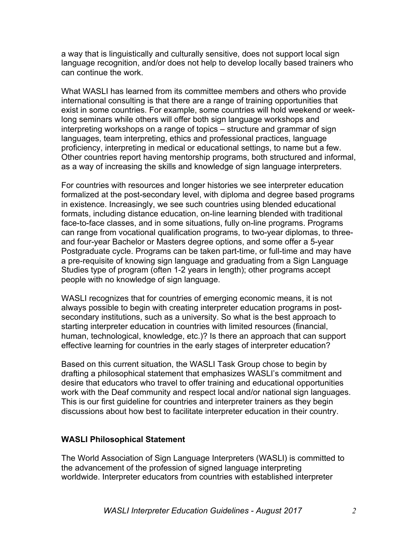a way that is linguistically and culturally sensitive, does not support local sign language recognition, and/or does not help to develop locally based trainers who can continue the work.

What WASLI has learned from its committee members and others who provide international consulting is that there are a range of training opportunities that exist in some countries. For example, some countries will hold weekend or weeklong seminars while others will offer both sign language workshops and interpreting workshops on a range of topics – structure and grammar of sign languages, team interpreting, ethics and professional practices, language proficiency, interpreting in medical or educational settings, to name but a few. Other countries report having mentorship programs, both structured and informal, as a way of increasing the skills and knowledge of sign language interpreters.

For countries with resources and longer histories we see interpreter education formalized at the post-secondary level, with diploma and degree based programs in existence. Increasingly, we see such countries using blended educational formats, including distance education, on-line learning blended with traditional face-to-face classes, and in some situations, fully on-line programs. Programs can range from vocational qualification programs, to two-year diplomas, to threeand four-year Bachelor or Masters degree options, and some offer a 5-year Postgraduate cycle. Programs can be taken part-time, or full-time and may have a pre-requisite of knowing sign language and graduating from a Sign Language Studies type of program (often 1-2 years in length); other programs accept people with no knowledge of sign language.

WASLI recognizes that for countries of emerging economic means, it is not always possible to begin with creating interpreter education programs in postsecondary institutions, such as a university. So what is the best approach to starting interpreter education in countries with limited resources (financial, human, technological, knowledge, etc.)? Is there an approach that can support effective learning for countries in the early stages of interpreter education?

Based on this current situation, the WASLI Task Group chose to begin by drafting a philosophical statement that emphasizes WASLI's commitment and desire that educators who travel to offer training and educational opportunities work with the Deaf community and respect local and/or national sign languages. This is our first guideline for countries and interpreter trainers as they begin discussions about how best to facilitate interpreter education in their country.

## **WASLI Philosophical Statement**

The World Association of Sign Language Interpreters (WASLI) is committed to the advancement of the profession of signed language interpreting worldwide. Interpreter educators from countries with established interpreter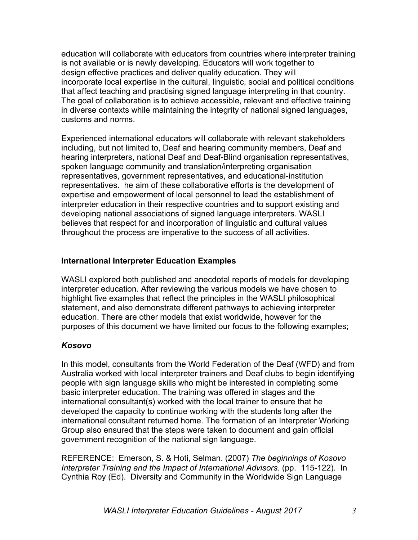education will collaborate with educators from countries where interpreter training is not available or is newly developing. Educators will work together to design effective practices and deliver quality education. They will incorporate local expertise in the cultural, linguistic, social and political conditions that affect teaching and practising signed language interpreting in that country. The goal of collaboration is to achieve accessible, relevant and effective training in diverse contexts while maintaining the integrity of national signed languages, customs and norms.

Experienced international educators will collaborate with relevant stakeholders including, but not limited to, Deaf and hearing community members, Deaf and hearing interpreters, national Deaf and Deaf-Blind organisation representatives, spoken language community and translation/interpreting organisation representatives, government representatives, and educational-institution representatives. he aim of these collaborative efforts is the development of expertise and empowerment of local personnel to lead the establishment of interpreter education in their respective countries and to support existing and developing national associations of signed language interpreters. WASLI believes that respect for and incorporation of linguistic and cultural values throughout the process are imperative to the success of all activities.

## **International Interpreter Education Examples**

WASLI explored both published and anecdotal reports of models for developing interpreter education. After reviewing the various models we have chosen to highlight five examples that reflect the principles in the WASLI philosophical statement, and also demonstrate different pathways to achieving interpreter education. There are other models that exist worldwide, however for the purposes of this document we have limited our focus to the following examples;

# *Kosovo*

In this model, consultants from the World Federation of the Deaf (WFD) and from Australia worked with local interpreter trainers and Deaf clubs to begin identifying people with sign language skills who might be interested in completing some basic interpreter education. The training was offered in stages and the international consultant(s) worked with the local trainer to ensure that he developed the capacity to continue working with the students long after the international consultant returned home. The formation of an Interpreter Working Group also ensured that the steps were taken to document and gain official government recognition of the national sign language.

REFERENCE: Emerson, S. & Hoti, Selman. (2007) *The beginnings of Kosovo Interpreter Training and the Impact of International Advisors*. (pp. 115-122). In Cynthia Roy (Ed). Diversity and Community in the Worldwide Sign Language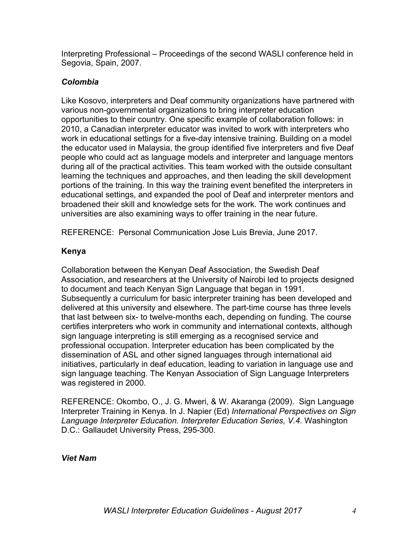Interpreting Professional – Proceedings of the second WASLI conference held in Segovia, Spain, 2007.

## *Colombia*

Like Kosovo, interpreters and Deaf community organizations have partnered with various non-governmental organizations to bring interpreter education opportunities to their country. One specific example of collaboration follows: in 2010, a Canadian interpreter educator was invited to work with interpreters who work in educational settings for a five-day intensive training. Building on a model the educator used in Malaysia, the group identified five interpreters and five Deaf people who could act as language models and interpreter and language mentors during all of the practical activities. This team worked with the outside consultant learning the techniques and approaches, and then leading the skill development portions of the training. In this way the training event benefited the interpreters in educational settings, and expanded the pool of Deaf and interpreter mentors and broadened their skill and knowledge sets for the work. The work continues and universities are also examining ways to offer training in the near future.

REFERENCE: Personal Communication Jose Luis Brevia, June 2017.

# **Kenya**

Collaboration between the Kenyan Deaf Association, the Swedish Deaf Association, and researchers at the University of Nairobi led to projects designed to document and teach Kenyan Sign Language that began in 1991. Subsequently a curriculum for basic interpreter training has been developed and delivered at this university and elsewhere. The part-time course has three levels that last between six- to twelve-months each, depending on funding. The course certifies interpreters who work in community and international contexts, although sign language interpreting is still emerging as a recognised service and professional occupation. Interpreter education has been complicated by the dissemination of ASL and other signed languages through international aid initiatives, particularly in deaf education, leading to variation in language use and sign language teaching. The Kenyan Association of Sign Language Interpreters was registered in 2000.

REFERENCE: Okombo, O., J. G. Mweri, & W. Akaranga (2009). Sign Language Interpreter Training in Kenya. In J. Napier (Ed) *International Perspectives on Sign Language Interpreter Education. Interpreter Education Series, V.4.* Washington D.C.: Gallaudet University Press, 295-300.

## *Viet Nam*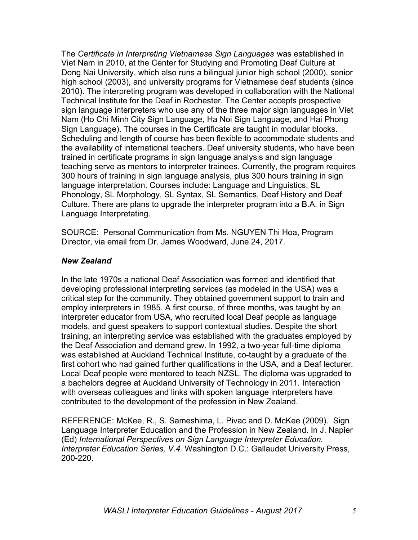The *Certificate in Interpreting Vietnamese Sign Languages* was established in Viet Nam in 2010, at the Center for Studying and Promoting Deaf Culture at Dong Nai University, which also runs a bilingual junior high school (2000), senior high school (2003), and university programs for Vietnamese deaf students (since 2010). The interpreting program was developed in collaboration with the National Technical Institute for the Deaf in Rochester. The Center accepts prospective sign language interpreters who use any of the three major sign languages in Viet Nam (Ho Chi Minh City Sign Language, Ha Noi Sign Language, and Hai Phong Sign Language). The courses in the Certificate are taught in modular blocks. Scheduling and length of course has been flexible to accommodate students and the availability of international teachers. Deaf university students, who have been trained in certificate programs in sign language analysis and sign language teaching serve as mentors to interpreter trainees. Currently, the program requires 300 hours of training in sign language analysis, plus 300 hours training in sign language interpretation. Courses include: Language and Linguistics, SL Phonology, SL Morphology, SL Syntax, SL Semantics, Deaf History and Deaf Culture. There are plans to upgrade the interpreter program into a B.A. in Sign Language Interpretating.

SOURCE: Personal Communication from Ms. NGUYEN Thi Hoa, Program Director, via email from Dr. James Woodward, June 24, 2017.

## *New Zealand*

In the late 1970s a national Deaf Association was formed and identified that developing professional interpreting services (as modeled in the USA) was a critical step for the community. They obtained government support to train and employ interpreters in 1985. A first course, of three months, was taught by an interpreter educator from USA, who recruited local Deaf people as language models, and guest speakers to support contextual studies. Despite the short training, an interpreting service was established with the graduates employed by the Deaf Association and demand grew. In 1992, a two-year full-time diploma was established at Auckland Technical Institute, co-taught by a graduate of the first cohort who had gained further qualifications in the USA, and a Deaf lecturer. Local Deaf people were mentored to teach NZSL. The diploma was upgraded to a bachelors degree at Auckland University of Technology in 2011. Interaction with overseas colleagues and links with spoken language interpreters have contributed to the development of the profession in New Zealand.

REFERENCE: McKee, R., S. Sameshima, L. Pivac and D. McKee (2009). Sign Language Interpreter Education and the Profession in New Zealand. In J. Napier (Ed) *International Perspectives on Sign Language Interpreter Education. Interpreter Education Series, V.4.* Washington D.C.: Gallaudet University Press, 200-220.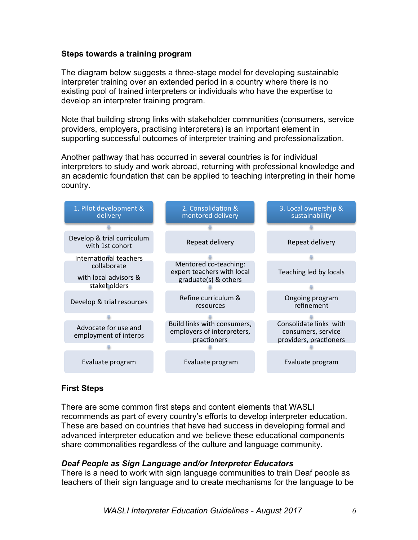## **Steps towards a training program**

The diagram below suggests a three-stage model for developing sustainable interpreter training over an extended period in a country where there is no existing pool of trained interpreters or individuals who have the expertise to develop an interpreter training program.

Note that building strong links with stakeholder communities (consumers, service providers, employers, practising interpreters) is an important element in supporting successful outcomes of interpreter training and professionalization.

Another pathway that has occurred in several countries is for individual interpreters to study and work abroad, returning with professional knowledge and an academic foundation that can be applied to teaching interpreting in their home country.



## **First Steps**

There are some common first steps and content elements that WASLI recommends as part of every country's efforts to develop interpreter education. These are based on countries that have had success in developing formal and advanced interpreter education and we believe these educational components share commonalities regardless of the culture and language community.

## *Deaf People as Sign Language and/or Interpreter Educators*

There is a need to work with sign language communities to train Deaf people as teachers of their sign language and to create mechanisms for the language to be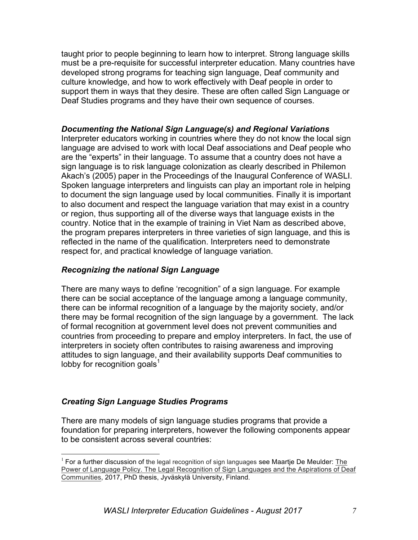taught prior to people beginning to learn how to interpret. Strong language skills must be a pre-requisite for successful interpreter education. Many countries have developed strong programs for teaching sign language, Deaf community and culture knowledge, and how to work effectively with Deaf people in order to support them in ways that they desire. These are often called Sign Language or Deaf Studies programs and they have their own sequence of courses.

## *Documenting the National Sign Language(s) and Regional Variations*

Interpreter educators working in countries where they do not know the local sign language are advised to work with local Deaf associations and Deaf people who are the "experts" in their language. To assume that a country does not have a sign language is to risk language colonization as clearly described in Philemon Akach's (2005) paper in the Proceedings of the Inaugural Conference of WASLI. Spoken language interpreters and linguists can play an important role in helping to document the sign language used by local communities. Finally it is important to also document and respect the language variation that may exist in a country or region, thus supporting all of the diverse ways that language exists in the country. Notice that in the example of training in Viet Nam as described above, the program prepares interpreters in three varieties of sign language, and this is reflected in the name of the qualification. Interpreters need to demonstrate respect for, and practical knowledge of language variation.

## *Recognizing the national Sign Language*

There are many ways to define 'recognition" of a sign language. For example there can be social acceptance of the language among a language community, there can be informal recognition of a language by the majority society, and/or there may be formal recognition of the sign language by a government. The lack of formal recognition at government level does not prevent communities and countries from proceeding to prepare and employ interpreters. In fact, the use of interpreters in society often contributes to raising awareness and improving attitudes to sign language, and their availability supports Deaf communities to lobby for recognition goals $<sup>1</sup>$ </sup>

## *Creating Sign Language Studies Programs*

There are many models of sign language studies programs that provide a foundation for preparing interpreters, however the following components appear to be consistent across several countries:

 $<sup>1</sup>$  For a further discussion of the legal recognition of sign languages see Maartje De Meulder: The</sup> Power of Language Policy. The Legal Recognition of Sign Languages and the Aspirations of Deaf Communities, 2017, PhD thesis, Jyväskylä University, Finland.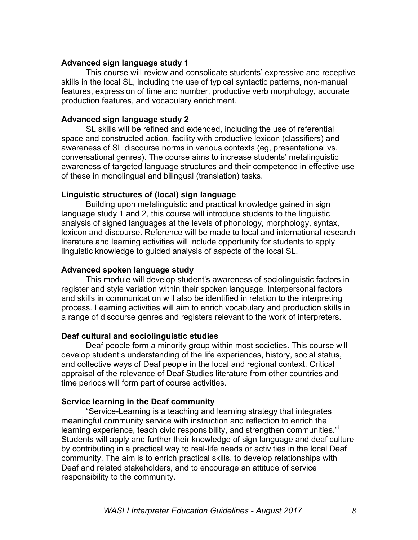## **Advanced sign language study 1**

This course will review and consolidate students' expressive and receptive skills in the local SL, including the use of typical syntactic patterns, non-manual features, expression of time and number, productive verb morphology, accurate production features, and vocabulary enrichment.

### **Advanced sign language study 2**

SL skills will be refined and extended, including the use of referential space and constructed action, facility with productive lexicon (classifiers) and awareness of SL discourse norms in various contexts (eg, presentational vs. conversational genres). The course aims to increase students' metalinguistic awareness of targeted language structures and their competence in effective use of these in monolingual and bilingual (translation) tasks.

#### **Linguistic structures of (local) sign language**

Building upon metalinguistic and practical knowledge gained in sign language study 1 and 2, this course will introduce students to the linguistic analysis of signed languages at the levels of phonology, morphology, syntax, lexicon and discourse. Reference will be made to local and international research literature and learning activities will include opportunity for students to apply linguistic knowledge to guided analysis of aspects of the local SL.

#### **Advanced spoken language study**

This module will develop student's awareness of sociolinguistic factors in register and style variation within their spoken language. Interpersonal factors and skills in communication will also be identified in relation to the interpreting process. Learning activities will aim to enrich vocabulary and production skills in a range of discourse genres and registers relevant to the work of interpreters.

#### **Deaf cultural and sociolinguistic studies**

Deaf people form a minority group within most societies. This course will develop student's understanding of the life experiences, history, social status, and collective ways of Deaf people in the local and regional context. Critical appraisal of the relevance of Deaf Studies literature from other countries and time periods will form part of course activities.

#### **Service learning in the Deaf community**

"Service-Learning is a teaching and learning strategy that integrates meaningful community service with instruction and reflection to enrich the learning experience, teach civic responsibility, and strengthen communities." Students will apply and further their knowledge of sign language and deaf culture by contributing in a practical way to real-life needs or activities in the local Deaf community. The aim is to enrich practical skills, to develop relationships with Deaf and related stakeholders, and to encourage an attitude of service responsibility to the community.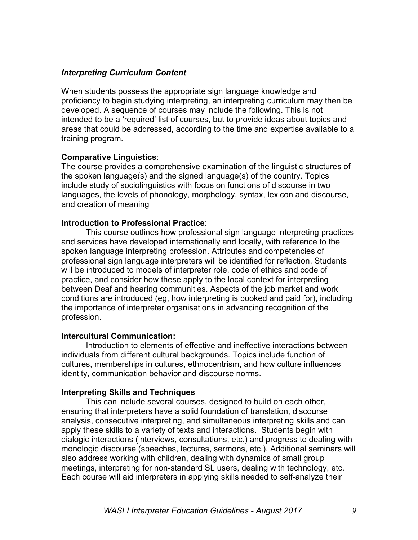## *Interpreting Curriculum Content*

When students possess the appropriate sign language knowledge and proficiency to begin studying interpreting, an interpreting curriculum may then be developed. A sequence of courses may include the following. This is not intended to be a 'required' list of courses, but to provide ideas about topics and areas that could be addressed, according to the time and expertise available to a training program.

## **Comparative Linguistics**:

The course provides a comprehensive examination of the linguistic structures of the spoken language(s) and the signed language(s) of the country. Topics include study of sociolinguistics with focus on functions of discourse in two languages, the levels of phonology, morphology, syntax, lexicon and discourse, and creation of meaning

## **Introduction to Professional Practice**:

This course outlines how professional sign language interpreting practices and services have developed internationally and locally, with reference to the spoken language interpreting profession. Attributes and competencies of professional sign language interpreters will be identified for reflection. Students will be introduced to models of interpreter role, code of ethics and code of practice, and consider how these apply to the local context for interpreting between Deaf and hearing communities. Aspects of the job market and work conditions are introduced (eg, how interpreting is booked and paid for), including the importance of interpreter organisations in advancing recognition of the profession.

## **Intercultural Communication:**

Introduction to elements of effective and ineffective interactions between individuals from different cultural backgrounds. Topics include function of cultures, memberships in cultures, ethnocentrism, and how culture influences identity, communication behavior and discourse norms.

## **Interpreting Skills and Techniques**

This can include several courses, designed to build on each other, ensuring that interpreters have a solid foundation of translation, discourse analysis, consecutive interpreting, and simultaneous interpreting skills and can apply these skills to a variety of texts and interactions. Students begin with dialogic interactions (interviews, consultations, etc.) and progress to dealing with monologic discourse (speeches, lectures, sermons, etc.). Additional seminars will also address working with children, dealing with dynamics of small group meetings, interpreting for non-standard SL users, dealing with technology, etc. Each course will aid interpreters in applying skills needed to self-analyze their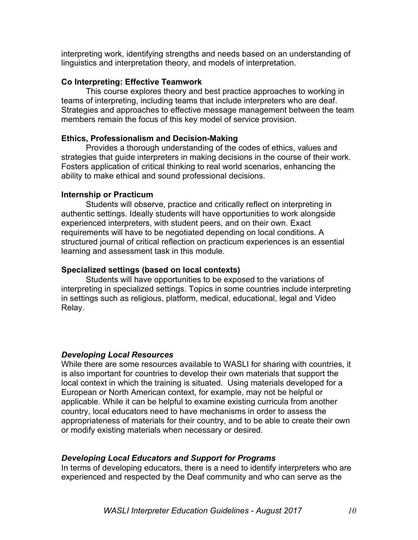interpreting work, identifying strengths and needs based on an understanding of linguistics and interpretation theory, and models of interpretation.

## **Co Interpreting: Effective Teamwork**

This course explores theory and best practice approaches to working in teams of interpreting, including teams that include interpreters who are deaf. Strategies and approaches to effective message management between the team members remain the focus of this key model of service provision.

## **Ethics, Professionalism and Decision-Making**

Provides a thorough understanding of the codes of ethics, values and strategies that guide interpreters in making decisions in the course of their work. Fosters application of critical thinking to real world scenarios, enhancing the ability to make ethical and sound professional decisions.

## **Internship or Practicum**

Students will observe, practice and critically reflect on interpreting in authentic settings. Ideally students will have opportunities to work alongside experienced interpreters, with student peers, and on their own. Exact requirements will have to be negotiated depending on local conditions. A structured journal of critical reflection on practicum experiences is an essential learning and assessment task in this module.

## **Specialized settings (based on local contexts)**

Students will have opportunities to be exposed to the variations of interpreting in specialized settings. Topics in some countries include interpreting in settings such as religious, platform, medical, educational, legal and Video Relay.

## *Developing Local Resources*

While there are some resources available to WASLI for sharing with countries, it is also important for countries to develop their own materials that support the local context in which the training is situated. Using materials developed for a European or North American context, for example, may not be helpful or applicable. While it can be helpful to examine existing curricula from another country, local educators need to have mechanisms in order to assess the appropriateness of materials for their country, and to be able to create their own or modify existing materials when necessary or desired.

## *Developing Local Educators and Support for Programs*

In terms of developing educators, there is a need to identify interpreters who are experienced and respected by the Deaf community and who can serve as the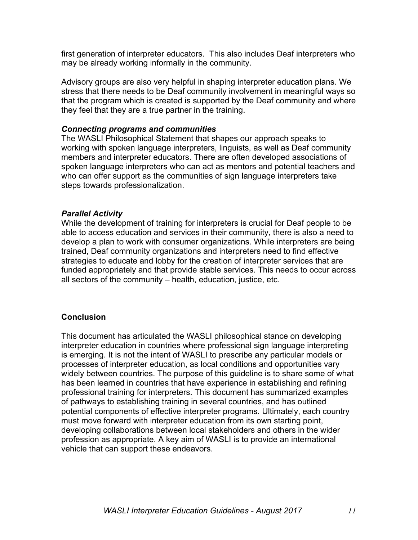first generation of interpreter educators. This also includes Deaf interpreters who may be already working informally in the community.

Advisory groups are also very helpful in shaping interpreter education plans. We stress that there needs to be Deaf community involvement in meaningful ways so that the program which is created is supported by the Deaf community and where they feel that they are a true partner in the training.

### *Connecting programs and communities*

The WASLI Philosophical Statement that shapes our approach speaks to working with spoken language interpreters, linguists, as well as Deaf community members and interpreter educators. There are often developed associations of spoken language interpreters who can act as mentors and potential teachers and who can offer support as the communities of sign language interpreters take steps towards professionalization.

## *Parallel Activity*

While the development of training for interpreters is crucial for Deaf people to be able to access education and services in their community, there is also a need to develop a plan to work with consumer organizations. While interpreters are being trained, Deaf community organizations and interpreters need to find effective strategies to educate and lobby for the creation of interpreter services that are funded appropriately and that provide stable services. This needs to occur across all sectors of the community – health, education, justice, etc.

## **Conclusion**

This document has articulated the WASLI philosophical stance on developing interpreter education in countries where professional sign language interpreting is emerging. It is not the intent of WASLI to prescribe any particular models or processes of interpreter education, as local conditions and opportunities vary widely between countries. The purpose of this guideline is to share some of what has been learned in countries that have experience in establishing and refining professional training for interpreters. This document has summarized examples of pathways to establishing training in several countries, and has outlined potential components of effective interpreter programs. Ultimately, each country must move forward with interpreter education from its own starting point, developing collaborations between local stakeholders and others in the wider profession as appropriate. A key aim of WASLI is to provide an international vehicle that can support these endeavors.